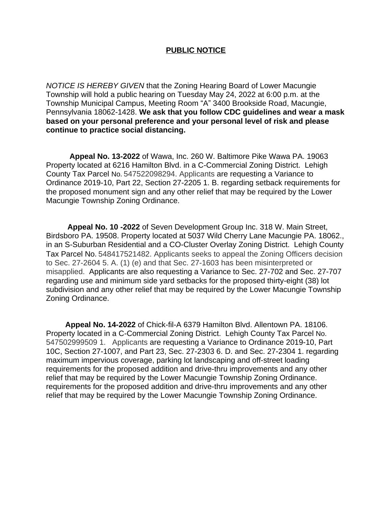## **PUBLIC NOTICE**

*NOTICE IS HEREBY GIVEN* that the Zoning Hearing Board of Lower Macungie Township will hold a public hearing on Tuesday May 24, 2022 at 6:00 p.m. at the Township Municipal Campus, Meeting Room "A" 3400 Brookside Road, Macungie, Pennsylvania 18062-1428. **We ask that you follow CDC guidelines and wear a mask based on your personal preference and your personal level of risk and please continue to practice social distancing.**

 **Appeal No. 13-2022** of Wawa, Inc. 260 W. Baltimore Pike Wawa PA. 19063 Property located at 6216 Hamilton Blvd. in a C-Commercial Zoning District. Lehigh County Tax Parcel No. 547522098294. Applicants are requesting a Variance to Ordinance 2019-10, Part 22, Section 27-2205 1. B. regarding setback requirements for the proposed monument sign and any other relief that may be required by the Lower Macungie Township Zoning Ordinance.

 **Appeal No. 10 -2022** of Seven Development Group Inc. 318 W. Main Street, Birdsboro PA. 19508. Property located at 5037 Wild Cherry Lane Macungie PA. 18062., in an S-Suburban Residential and a CO-Cluster Overlay Zoning District. Lehigh County Tax Parcel No. 548417521482. Applicants seeks to appeal the Zoning Officers decision to Sec. 27-2604 5. A. (1) (e) and that Sec. 27-1603 has been misinterpreted or misapplied. Applicants are also requesting a Variance to Sec. 27-702 and Sec. 27-707 regarding use and minimum side yard setbacks for the proposed thirty-eight (38) lot subdivision and any other relief that may be required by the Lower Macungie Township Zoning Ordinance.

 **Appeal No. 14-2022** of Chick-fil-A 6379 Hamilton Blvd. Allentown PA. 18106. Property located in a C-Commercial Zoning District. Lehigh County Tax Parcel No. 547502999509 1. Applicants are requesting a Variance to Ordinance 2019-10, Part 10C, Section 27-1007, and Part 23, Sec. 27-2303 6. D. and Sec. 27-2304 1. regarding maximum impervious coverage, parking lot landscaping and off-street loading requirements for the proposed addition and drive-thru improvements and any other relief that may be required by the Lower Macungie Township Zoning Ordinance. requirements for the proposed addition and drive-thru improvements and any other relief that may be required by the Lower Macungie Township Zoning Ordinance.